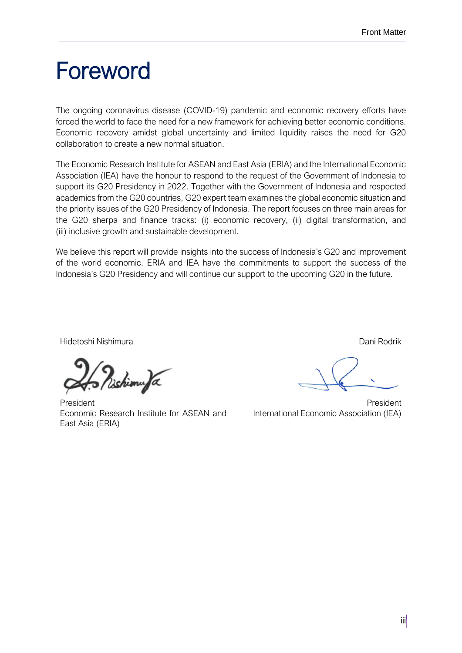## Foreword

The ongoing coronavirus disease (COVID-19) pandemic and economic recovery efforts have forced the world to face the need for a new framework for achieving better economic conditions. Economic recovery amidst global uncertainty and limited liquidity raises the need for G20 collaboration to create a new normal situation.

The Economic Research Institute for ASEAN and East Asia (ERIA) and the International Economic Association (IEA) have the honour to respond to the request of the Government of Indonesia to support its G20 Presidency in 2022. Together with the Government of Indonesia and respected academics from the G20 countries, G20 expert team examines the global economic situation and the priority issues of the G20 Presidency of Indonesia. The report focuses on three main areas for the G20 sherpa and finance tracks: (i) economic recovery, (ii) digital transformation, and (iii) inclusive growth and sustainable development.

We believe this report will provide insights into the success of Indonesia's G20 and improvement of the world economic. ERIA and IEA have the commitments to support the success of the Indonesia's G20 Presidency and will continue our support to the upcoming G20 in the future.

Hidetoshi Nishimura Dani Rodrik

ishimufa

President Economic Research Institute for ASEAN and East Asia (ERIA)

President International Economic Association (IEA)